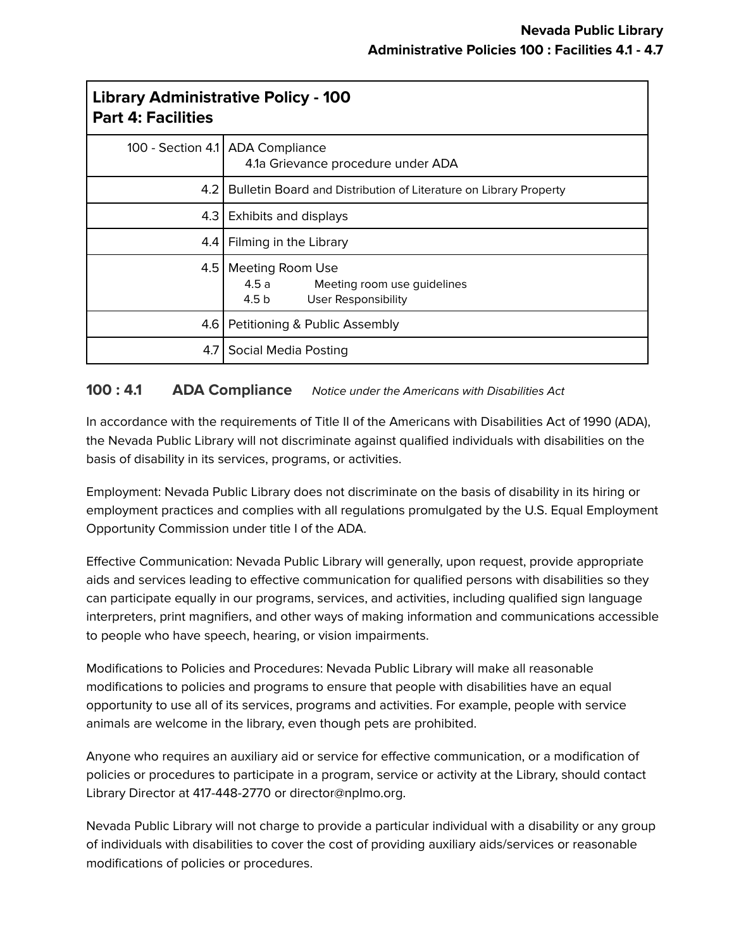| <b>Library Administrative Policy - 100</b><br><b>Part 4: Facilities</b> |                                                                                       |
|-------------------------------------------------------------------------|---------------------------------------------------------------------------------------|
|                                                                         | 100 - Section 4.1   ADA Compliance<br>4.1a Grievance procedure under ADA              |
| 4.2                                                                     | Bulletin Board and Distribution of Literature on Library Property                     |
| 4.3                                                                     | Exhibits and displays                                                                 |
| 4.4                                                                     | Filming in the Library                                                                |
| 4.5                                                                     | Meeting Room Use<br>4.5 a Meeting room use guidelines<br>4.5 b<br>User Responsibility |
| 4.6                                                                     | Petitioning & Public Assembly                                                         |
| 4.7                                                                     | Social Media Posting                                                                  |

### **100 : 4.1 ADA Compliance** Notice under the Americans with Disabilities Act

In accordance with the requirements of Title II of the Americans with Disabilities Act of 1990 (ADA), the Nevada Public Library will not discriminate against qualified individuals with disabilities on the basis of disability in its services, programs, or activities.

Employment: Nevada Public Library does not discriminate on the basis of disability in its hiring or employment practices and complies with all regulations promulgated by the U.S. Equal Employment Opportunity Commission under title I of the ADA.

Effective Communication: Nevada Public Library will generally, upon request, provide appropriate aids and services leading to effective communication for qualified persons with disabilities so they can participate equally in our programs, services, and activities, including qualified sign language interpreters, print magnifiers, and other ways of making information and communications accessible to people who have speech, hearing, or vision impairments.

Modifications to Policies and Procedures: Nevada Public Library will make all reasonable modifications to policies and programs to ensure that people with disabilities have an equal opportunity to use all of its services, programs and activities. For example, people with service animals are welcome in the library, even though pets are prohibited.

Anyone who requires an auxiliary aid or service for effective communication, or a modification of policies or procedures to participate in a program, service or activity at the Library, should contact Library Director at 417-448-2770 or director@nplmo.org.

Nevada Public Library will not charge to provide a particular individual with a disability or any group of individuals with disabilities to cover the cost of providing auxiliary aids/services or reasonable modifications of policies or procedures.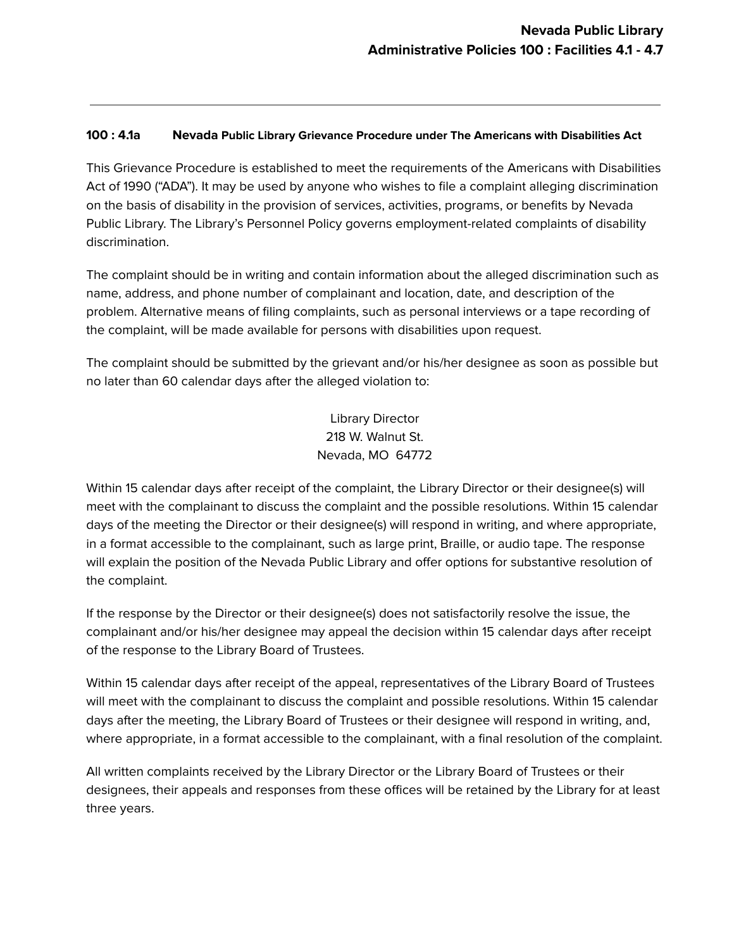#### **100 : 4.1a Nevada Public Library Grievance Procedure under The Americans with Disabilities Act**

This Grievance Procedure is established to meet the requirements of the Americans with Disabilities Act of 1990 ("ADA"). It may be used by anyone who wishes to file a complaint alleging discrimination on the basis of disability in the provision of services, activities, programs, or benefits by Nevada Public Library. The Library's Personnel Policy governs employment-related complaints of disability discrimination.

The complaint should be in writing and contain information about the alleged discrimination such as name, address, and phone number of complainant and location, date, and description of the problem. Alternative means of filing complaints, such as personal interviews or a tape recording of the complaint, will be made available for persons with disabilities upon request.

The complaint should be submitted by the grievant and/or his/her designee as soon as possible but no later than 60 calendar days after the alleged violation to:

> Library Director 218 W. Walnut St. Nevada, MO 64772

Within 15 calendar days after receipt of the complaint, the Library Director or their designee(s) will meet with the complainant to discuss the complaint and the possible resolutions. Within 15 calendar days of the meeting the Director or their designee(s) will respond in writing, and where appropriate, in a format accessible to the complainant, such as large print, Braille, or audio tape. The response will explain the position of the Nevada Public Library and offer options for substantive resolution of the complaint.

If the response by the Director or their designee(s) does not satisfactorily resolve the issue, the complainant and/or his/her designee may appeal the decision within 15 calendar days after receipt of the response to the Library Board of Trustees.

Within 15 calendar days after receipt of the appeal, representatives of the Library Board of Trustees will meet with the complainant to discuss the complaint and possible resolutions. Within 15 calendar days after the meeting, the Library Board of Trustees or their designee will respond in writing, and, where appropriate, in a format accessible to the complainant, with a final resolution of the complaint.

All written complaints received by the Library Director or the Library Board of Trustees or their designees, their appeals and responses from these offices will be retained by the Library for at least three years.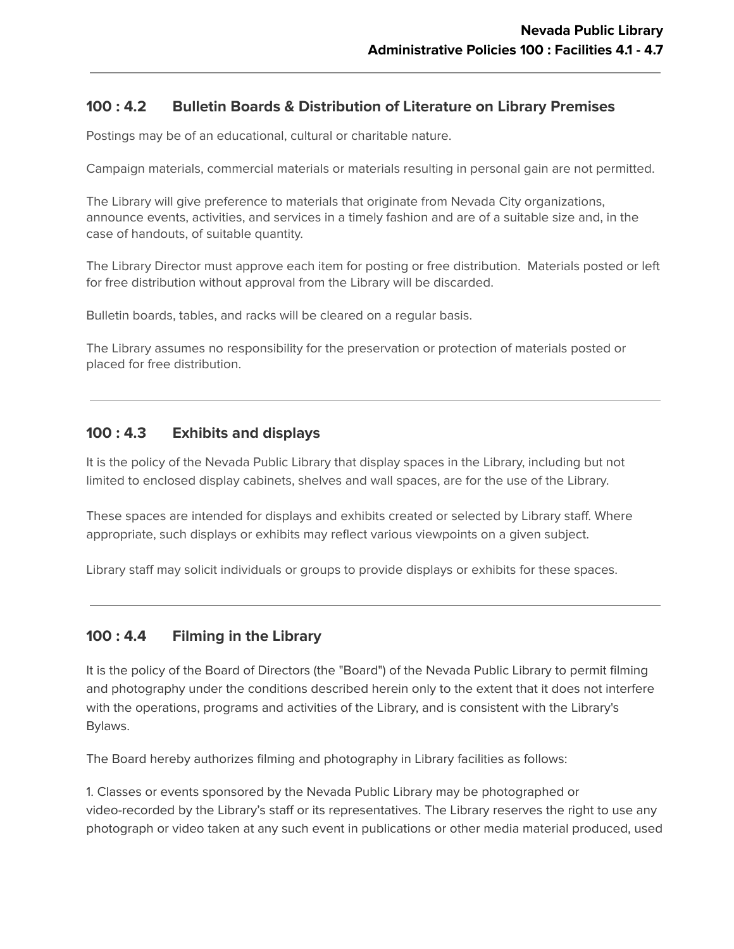## **100 : 4.2 Bulletin Boards & Distribution of Literature on Library Premises**

Postings may be of an educational, cultural or charitable nature.

Campaign materials, commercial materials or materials resulting in personal gain are not permitted.

The Library will give preference to materials that originate from Nevada City organizations, announce events, activities, and services in a timely fashion and are of a suitable size and, in the case of handouts, of suitable quantity.

The Library Director must approve each item for posting or free distribution. Materials posted or left for free distribution without approval from the Library will be discarded.

Bulletin boards, tables, and racks will be cleared on a regular basis.

The Library assumes no responsibility for the preservation or protection of materials posted or placed for free distribution.

### **100 : 4.3 Exhibits and displays**

It is the policy of the Nevada Public Library that display spaces in the Library, including but not limited to enclosed display cabinets, shelves and wall spaces, are for the use of the Library.

These spaces are intended for displays and exhibits created or selected by Library staff. Where appropriate, such displays or exhibits may reflect various viewpoints on a given subject.

Library staff may solicit individuals or groups to provide displays or exhibits for these spaces.

# **100 : 4.4 Filming in the Library**

It is the policy of the Board of Directors (the "Board") of the Nevada Public Library to permit filming and photography under the conditions described herein only to the extent that it does not interfere with the operations, programs and activities of the Library, and is consistent with the Library's Bylaws.

The Board hereby authorizes filming and photography in Library facilities as follows:

1. Classes or events sponsored by the Nevada Public Library may be photographed or video-recorded by the Library's staff or its representatives. The Library reserves the right to use any photograph or video taken at any such event in publications or other media material produced, used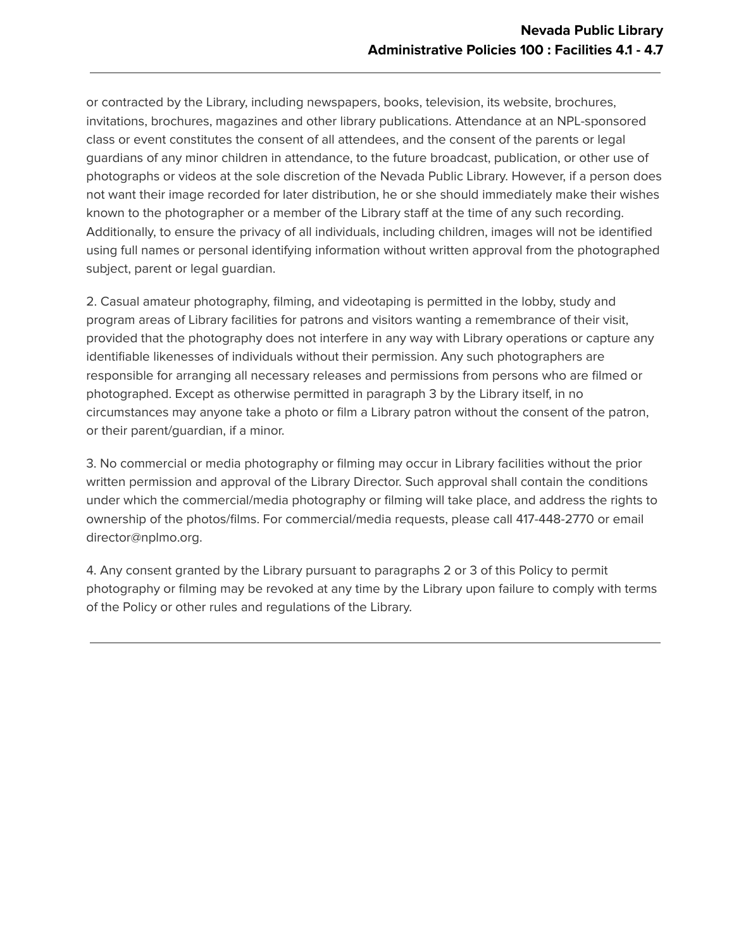or contracted by the Library, including newspapers, books, television, its website, brochures, invitations, brochures, magazines and other library publications. Attendance at an NPL-sponsored class or event constitutes the consent of all attendees, and the consent of the parents or legal guardians of any minor children in attendance, to the future broadcast, publication, or other use of photographs or videos at the sole discretion of the Nevada Public Library. However, if a person does not want their image recorded for later distribution, he or she should immediately make their wishes known to the photographer or a member of the Library staff at the time of any such recording. Additionally, to ensure the privacy of all individuals, including children, images will not be identified using full names or personal identifying information without written approval from the photographed subject, parent or legal guardian.

2. Casual amateur photography, filming, and videotaping is permitted in the lobby, study and program areas of Library facilities for patrons and visitors wanting a remembrance of their visit, provided that the photography does not interfere in any way with Library operations or capture any identifiable likenesses of individuals without their permission. Any such photographers are responsible for arranging all necessary releases and permissions from persons who are filmed or photographed. Except as otherwise permitted in paragraph 3 by the Library itself, in no circumstances may anyone take a photo or film a Library patron without the consent of the patron, or their parent/guardian, if a minor.

3. No commercial or media photography or filming may occur in Library facilities without the prior written permission and approval of the Library Director. Such approval shall contain the conditions under which the commercial/media photography or filming will take place, and address the rights to ownership of the photos/films. For commercial/media requests, please call 417-448-2770 or email director@nplmo.org.

4. Any consent granted by the Library pursuant to paragraphs 2 or 3 of this Policy to permit photography or filming may be revoked at any time by the Library upon failure to comply with terms of the Policy or other rules and regulations of the Library.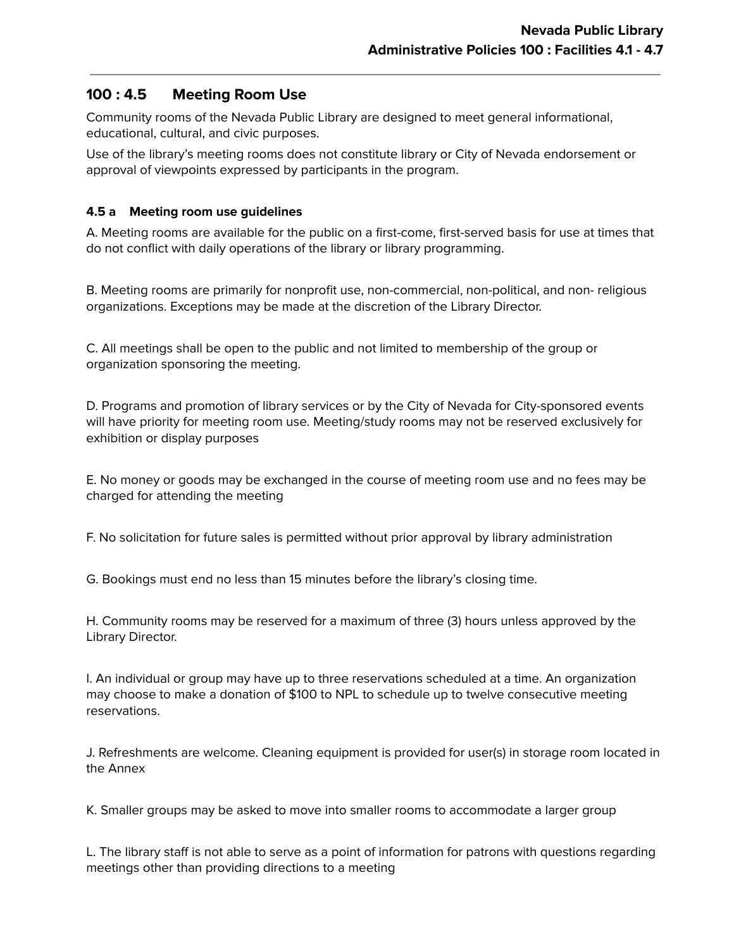### **100 : 4.5 Meeting Room Use**

Community rooms of the Nevada Public Library are designed to meet general informational, educational, cultural, and civic purposes.

Use of the library's meeting rooms does not constitute library or City of Nevada endorsement or approval of viewpoints expressed by participants in the program.

### **4.5 a Meeting room use guidelines**

A. Meeting rooms are available for the public on a first-come, first-served basis for use at times that do not conflict with daily operations of the library or library programming.

B. Meeting rooms are primarily for nonprofit use, non-commercial, non-political, and non- religious organizations. Exceptions may be made at the discretion of the Library Director.

C. All meetings shall be open to the public and not limited to membership of the group or organization sponsoring the meeting.

D. Programs and promotion of library services or by the City of Nevada for City-sponsored events will have priority for meeting room use. Meeting/study rooms may not be reserved exclusively for exhibition or display purposes

E. No money or goods may be exchanged in the course of meeting room use and no fees may be charged for attending the meeting

F. No solicitation for future sales is permitted without prior approval by library administration

G. Bookings must end no less than 15 minutes before the library's closing time.

H. Community rooms may be reserved for a maximum of three (3) hours unless approved by the Library Director.

I. An individual or group may have up to three reservations scheduled at a time. An organization may choose to make a donation of \$100 to NPL to schedule up to twelve consecutive meeting reservations.

J. Refreshments are welcome. Cleaning equipment is provided for user(s) in storage room located in the Annex

K. Smaller groups may be asked to move into smaller rooms to accommodate a larger group

L. The library staff is not able to serve as a point of information for patrons with questions regarding meetings other than providing directions to a meeting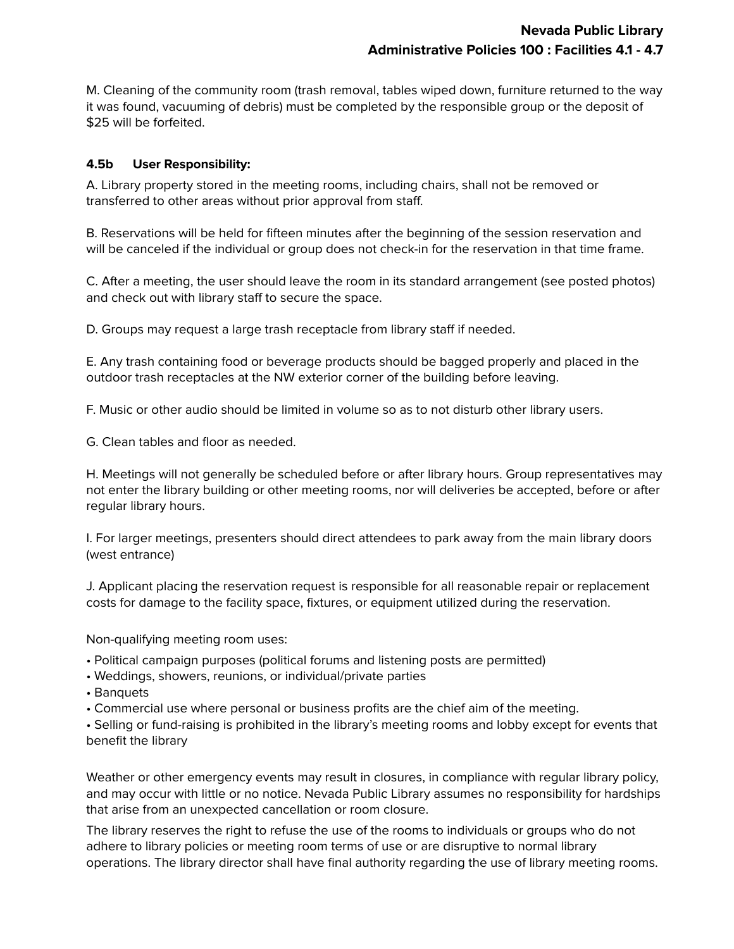M. Cleaning of the community room (trash removal, tables wiped down, furniture returned to the way it was found, vacuuming of debris) must be completed by the responsible group or the deposit of \$25 will be forfeited.

### **4.5b User Responsibility:**

A. Library property stored in the meeting rooms, including chairs, shall not be removed or transferred to other areas without prior approval from staff.

B. Reservations will be held for fifteen minutes after the beginning of the session reservation and will be canceled if the individual or group does not check-in for the reservation in that time frame.

C. After a meeting, the user should leave the room in its standard arrangement (see posted photos) and check out with library staff to secure the space.

D. Groups may request a large trash receptacle from library staff if needed.

E. Any trash containing food or beverage products should be bagged properly and placed in the outdoor trash receptacles at the NW exterior corner of the building before leaving.

F. Music or other audio should be limited in volume so as to not disturb other library users.

G. Clean tables and floor as needed.

H. Meetings will not generally be scheduled before or after library hours. Group representatives may not enter the library building or other meeting rooms, nor will deliveries be accepted, before or after regular library hours.

I. For larger meetings, presenters should direct attendees to park away from the main library doors (west entrance)

J. Applicant placing the reservation request is responsible for all reasonable repair or replacement costs for damage to the facility space, fixtures, or equipment utilized during the reservation.

Non-qualifying meeting room uses:

- Political campaign purposes (political forums and listening posts are permitted)
- Weddings, showers, reunions, or individual/private parties
- Banquets

• Commercial use where personal or business profits are the chief aim of the meeting.

• Selling or fund-raising is prohibited in the library's meeting rooms and lobby except for events that benefit the library

Weather or other emergency events may result in closures, in compliance with regular library policy, and may occur with little or no notice. Nevada Public Library assumes no responsibility for hardships that arise from an unexpected cancellation or room closure.

The library reserves the right to refuse the use of the rooms to individuals or groups who do not adhere to library policies or meeting room terms of use or are disruptive to normal library operations. The library director shall have final authority regarding the use of library meeting rooms.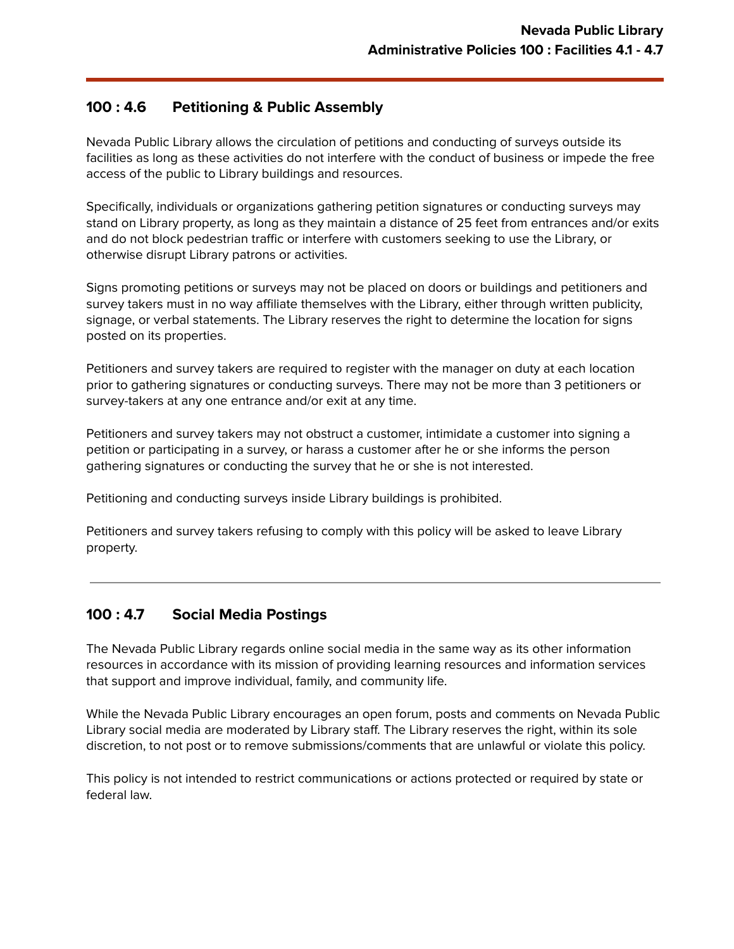### **100 : 4.6 Petitioning & Public Assembly**

Nevada Public Library allows the circulation of petitions and conducting of surveys outside its facilities as long as these activities do not interfere with the conduct of business or impede the free access of the public to Library buildings and resources.

Specifically, individuals or organizations gathering petition signatures or conducting surveys may stand on Library property, as long as they maintain a distance of 25 feet from entrances and/or exits and do not block pedestrian traffic or interfere with customers seeking to use the Library, or otherwise disrupt Library patrons or activities.

Signs promoting petitions or surveys may not be placed on doors or buildings and petitioners and survey takers must in no way affiliate themselves with the Library, either through written publicity, signage, or verbal statements. The Library reserves the right to determine the location for signs posted on its properties.

Petitioners and survey takers are required to register with the manager on duty at each location prior to gathering signatures or conducting surveys. There may not be more than 3 petitioners or survey-takers at any one entrance and/or exit at any time.

Petitioners and survey takers may not obstruct a customer, intimidate a customer into signing a petition or participating in a survey, or harass a customer after he or she informs the person gathering signatures or conducting the survey that he or she is not interested.

Petitioning and conducting surveys inside Library buildings is prohibited.

Petitioners and survey takers refusing to comply with this policy will be asked to leave Library property.

# **100 : 4.7 Social Media Postings**

The Nevada Public Library regards online social media in the same way as its other information resources in accordance with its mission of providing learning resources and information services that support and improve individual, family, and community life.

While the Nevada Public Library encourages an open forum, posts and comments on Nevada Public Library social media are moderated by Library staff. The Library reserves the right, within its sole discretion, to not post or to remove submissions/comments that are unlawful or violate this policy.

This policy is not intended to restrict communications or actions protected or required by state or federal law.